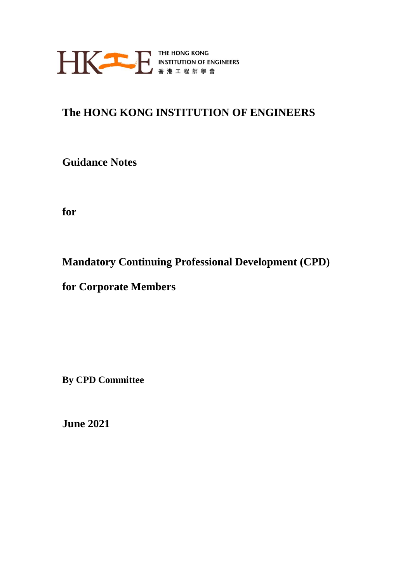

# **The HONG KONG INSTITUTION OF ENGINEERS**

**Guidance Notes** 

**for**

**Mandatory Continuing Professional Development (CPD)** 

**for Corporate Members**

**By CPD Committee**

**June 2021**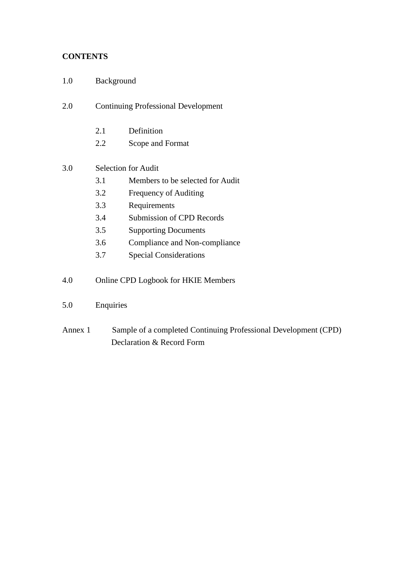### **CONTENTS**

- 1.0 Background
- 2.0 Continuing Professional Development
	- 2.1 Definition
	- 2.2 Scope and Format
- 3.0 Selection for Audit
	- 3.1 Members to be selected for Audit
	- 3.2 Frequency of Auditing
	- 3.3 Requirements
	- 3.4 Submission of CPD Records
	- 3.5 Supporting Documents
	- 3.6 Compliance and Non-compliance
	- 3.7 Special Considerations
- 4.0 Online CPD Logbook for HKIE Members
- 5.0 Enquiries
- Annex 1 Sample of a completed Continuing Professional Development (CPD) Declaration & Record Form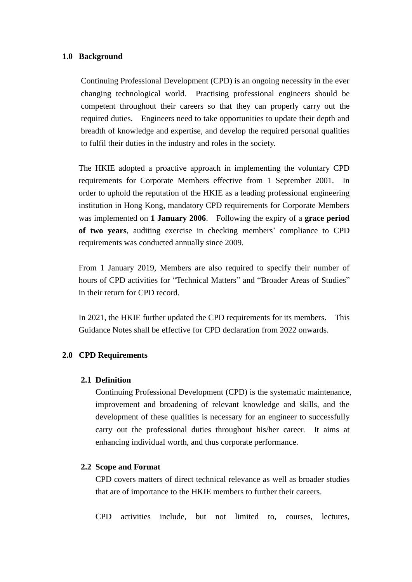#### **1.0 Background**

Continuing Professional Development (CPD) is an ongoing necessity in the ever changing technological world. Practising professional engineers should be competent throughout their careers so that they can properly carry out the required duties. Engineers need to take opportunities to update their depth and breadth of knowledge and expertise, and develop the required personal qualities to fulfil their duties in the industry and roles in the society.

The HKIE adopted a proactive approach in implementing the voluntary CPD requirements for Corporate Members effective from 1 September 2001. In order to uphold the reputation of the HKIE as a leading professional engineering institution in Hong Kong, mandatory CPD requirements for Corporate Members was implemented on **1 January 2006**. Following the expiry of a **grace period of two years**, auditing exercise in checking members' compliance to CPD requirements was conducted annually since 2009.

From 1 January 2019, Members are also required to specify their number of hours of CPD activities for "Technical Matters" and "Broader Areas of Studies" in their return for CPD record.

In 2021, the HKIE further updated the CPD requirements for its members. This Guidance Notes shall be effective for CPD declaration from 2022 onwards.

#### **2.0 CPD Requirements**

#### **2.1 Definition**

Continuing Professional Development (CPD) is the systematic maintenance, improvement and broadening of relevant knowledge and skills, and the development of these qualities is necessary for an engineer to successfully carry out the professional duties throughout his/her career. It aims at enhancing individual worth, and thus corporate performance.

#### **2.2 Scope and Format**

CPD covers matters of direct technical relevance as well as broader studies that are of importance to the HKIE members to further their careers.

CPD activities include, but not limited to, courses, lectures,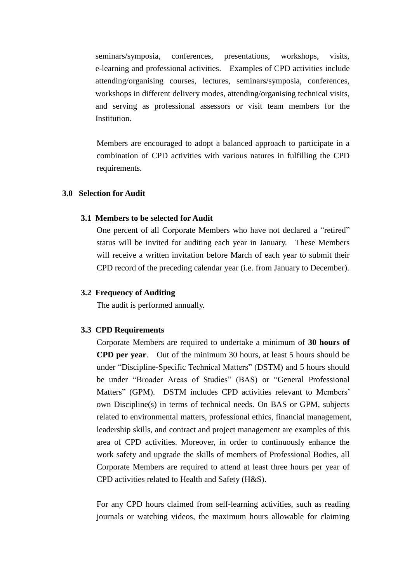seminars/symposia, conferences, presentations, workshops, visits, e-learning and professional activities. Examples of CPD activities include attending/organising courses, lectures, seminars/symposia, conferences, workshops in different delivery modes, attending/organising technical visits, and serving as professional assessors or visit team members for the Institution.

Members are encouraged to adopt a balanced approach to participate in a combination of CPD activities with various natures in fulfilling the CPD requirements*.*

#### **3.0 Selection for Audit**

#### **3.1 Members to be selected for Audit**

One percent of all Corporate Members who have not declared a "retired" status will be invited for auditing each year in January. These Members will receive a written invitation before March of each year to submit their CPD record of the preceding calendar year (i.e. from January to December).

#### **3.2 Frequency of Auditing**

The audit is performed annually.

#### **3.3 CPD Requirements**

Corporate Members are required to undertake a minimum of **30 hours of CPD per year**. Out of the minimum 30 hours, at least 5 hours should be under "Discipline-Specific Technical Matters" (DSTM) and 5 hours should be under "Broader Areas of Studies" (BAS) or "General Professional Matters" (GPM). DSTM includes CPD activities relevant to Members' own Discipline(s) in terms of technical needs. On BAS or GPM, subjects related to environmental matters, professional ethics, financial management, leadership skills, and contract and project management are examples of this area of CPD activities. Moreover, in order to continuously enhance the work safety and upgrade the skills of members of Professional Bodies, all Corporate Members are required to attend at least three hours per year of CPD activities related to Health and Safety (H&S).

For any CPD hours claimed from self-learning activities, such as reading journals or watching videos, the maximum hours allowable for claiming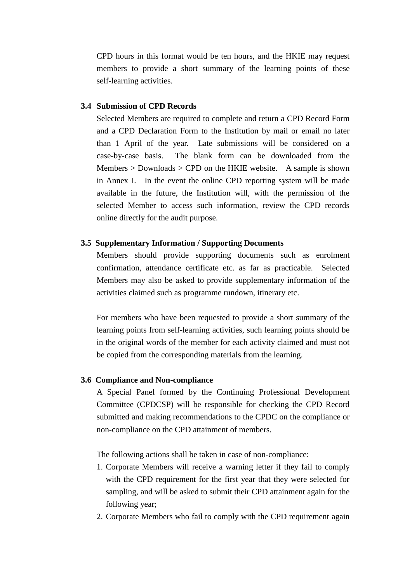CPD hours in this format would be ten hours, and the HKIE may request members to provide a short summary of the learning points of these self-learning activities.

#### **3.4 Submission of CPD Records**

Selected Members are required to complete and return a CPD Record Form and a CPD Declaration Form to the Institution by mail or email no later than 1 April of the year. Late submissions will be considered on a case-by-case basis. The blank form can be downloaded from the Members  $>$  Downloads  $>$  CPD on the HKIE website. A sample is shown in Annex I. In the event the online CPD reporting system will be made available in the future, the Institution will, with the permission of the selected Member to access such information, review the CPD records online directly for the audit purpose.

#### **3.5 Supplementary Information / Supporting Documents**

Members should provide supporting documents such as enrolment confirmation, attendance certificate etc. as far as practicable. Selected Members may also be asked to provide supplementary information of the activities claimed such as programme rundown, itinerary etc.

For members who have been requested to provide a short summary of the learning points from self-learning activities, such learning points should be in the original words of the member for each activity claimed and must not be copied from the corresponding materials from the learning.

#### **3.6 Compliance and Non-compliance**

A Special Panel formed by the Continuing Professional Development Committee (CPDCSP) will be responsible for checking the CPD Record submitted and making recommendations to the CPDC on the compliance or non-compliance on the CPD attainment of members.

The following actions shall be taken in case of non-compliance:

- 1. Corporate Members will receive a warning letter if they fail to comply with the CPD requirement for the first year that they were selected for sampling, and will be asked to submit their CPD attainment again for the following year;
- 2. Corporate Members who fail to comply with the CPD requirement again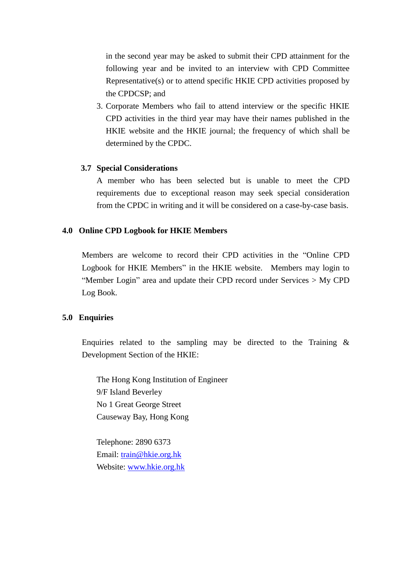in the second year may be asked to submit their CPD attainment for the following year and be invited to an interview with CPD Committee Representative(s) or to attend specific HKIE CPD activities proposed by the CPDCSP; and

3. Corporate Members who fail to attend interview or the specific HKIE CPD activities in the third year may have their names published in the HKIE website and the HKIE journal; the frequency of which shall be determined by the CPDC.

#### **3.7 Special Considerations**

A member who has been selected but is unable to meet the CPD requirements due to exceptional reason may seek special consideration from the CPDC in writing and it will be considered on a case-by-case basis.

### **4.0 Online CPD Logbook for HKIE Members**

Members are welcome to record their CPD activities in the "Online CPD Logbook for HKIE Members" in the HKIE website. Members may login to "Member Login" area and update their CPD record under Services > My CPD Log Book.

#### **5.0 Enquiries**

Enquiries related to the sampling may be directed to the Training  $\&$ Development Section of the HKIE:

The Hong Kong Institution of Engineer 9/F Island Beverley No 1 Great George Street Causeway Bay, Hong Kong

Telephone: 2890 6373 Email: [train@hkie.org.hk](mailto:train@hkie.org.hk) Website: [www.hkie.org.hk](http://www.hkie.org.hk/)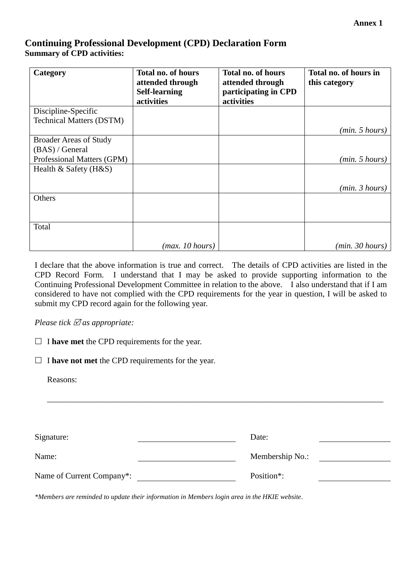## **Continuing Professional Development (CPD) Declaration Form Summary of CPD activities:**

| Category                        | <b>Total no. of hours</b><br>attended through<br><b>Self-learning</b> | <b>Total no. of hours</b><br>attended through<br>participating in CPD | Total no. of hours in<br>this category |
|---------------------------------|-----------------------------------------------------------------------|-----------------------------------------------------------------------|----------------------------------------|
|                                 | activities                                                            | activities                                                            |                                        |
| Discipline-Specific             |                                                                       |                                                                       |                                        |
| <b>Technical Matters (DSTM)</b> |                                                                       |                                                                       |                                        |
|                                 |                                                                       |                                                                       | (min. 5 hours)                         |
| <b>Broader Areas of Study</b>   |                                                                       |                                                                       |                                        |
| (BAS) / General                 |                                                                       |                                                                       |                                        |
| Professional Matters (GPM)      |                                                                       |                                                                       | (min. 5 hours)                         |
| Health $&$ Safety (H $&$ S)     |                                                                       |                                                                       |                                        |
|                                 |                                                                       |                                                                       |                                        |
|                                 |                                                                       |                                                                       | (min. 3 hours)                         |
| Others                          |                                                                       |                                                                       |                                        |
|                                 |                                                                       |                                                                       |                                        |
|                                 |                                                                       |                                                                       |                                        |
| Total                           |                                                                       |                                                                       |                                        |
|                                 |                                                                       |                                                                       |                                        |
|                                 | (max. 10 hours)                                                       |                                                                       | (min. 30 hours)                        |

I declare that the above information is true and correct. The details of CPD activities are listed in the CPD Record Form. I understand that I may be asked to provide supporting information to the Continuing Professional Development Committee in relation to the above. I also understand that if I am considered to have not complied with the CPD requirements for the year in question, I will be asked to submit my CPD record again for the following year.

*Please tick as appropriate:*

 $\Box$  **I have met** the CPD requirements for the year.

 $\Box$  **I have not met** the CPD requirements for the year.

Reasons:

| Signature:                | Date:                   |
|---------------------------|-------------------------|
| Name:                     | Membership No.:         |
| Name of Current Company*: | Position <sup>*</sup> : |

\_\_\_\_\_\_\_\_\_\_\_\_\_\_\_\_\_\_\_\_\_\_\_\_\_\_\_\_\_\_\_\_\_\_\_\_\_\_\_\_\_\_\_\_\_\_\_\_\_\_\_\_\_\_\_\_\_\_\_\_\_\_\_\_\_\_\_\_\_\_\_\_\_\_\_\_\_\_\_\_\_

*\*Members are reminded to update their information in Members login area in the HKIE website.*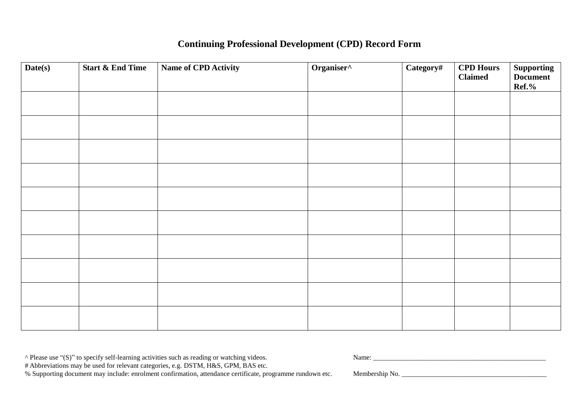# **Continuing Professional Development (CPD) Record Form**

| Date(s) | <b>Start &amp; End Time</b> | Name of CPD Activity | Organiser^ | Category# | <b>CPD Hours</b><br><b>Claimed</b> | <b>Supporting</b><br>Document<br>$Ref. \%$ |
|---------|-----------------------------|----------------------|------------|-----------|------------------------------------|--------------------------------------------|
|         |                             |                      |            |           |                                    |                                            |
|         |                             |                      |            |           |                                    |                                            |
|         |                             |                      |            |           |                                    |                                            |
|         |                             |                      |            |           |                                    |                                            |
|         |                             |                      |            |           |                                    |                                            |
|         |                             |                      |            |           |                                    |                                            |
|         |                             |                      |            |           |                                    |                                            |
|         |                             |                      |            |           |                                    |                                            |
|         |                             |                      |            |           |                                    |                                            |
|         |                             |                      |            |           |                                    |                                            |

^ Please use "(S)" to specify self-learning activities such as reading or watching videos. Name: \_\_\_\_\_\_\_\_\_\_\_\_\_\_\_\_\_\_\_\_\_\_\_\_\_\_\_\_\_\_\_\_\_\_\_\_\_\_\_\_\_\_\_\_\_\_\_\_\_\_

# Abbreviations may be used for relevant categories, e.g. DSTM, H&S, GPM, BAS etc.

% Supporting document may include: enrolment confirmation, attendance certificate, programme rundown etc. Membership No. \_\_\_\_\_\_\_\_\_\_\_\_\_\_\_\_\_\_\_\_\_\_\_\_\_\_\_\_\_\_\_\_\_\_\_\_\_\_\_\_\_\_